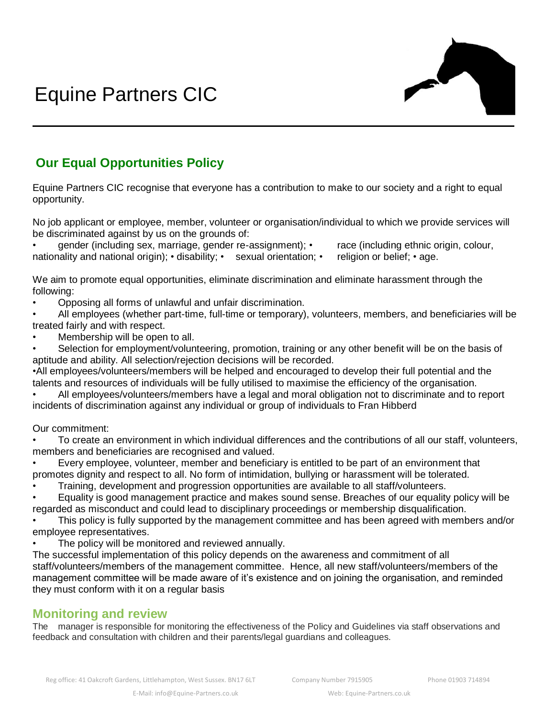

## **Our Equal Opportunities Policy**

Equine Partners CIC recognise that everyone has a contribution to make to our society and a right to equal opportunity.

No job applicant or employee, member, volunteer or organisation/individual to which we provide services will be discriminated against by us on the grounds of:

• gender (including sex, marriage, gender re-assignment); • race (including ethnic origin, colour, nationality and national origin); • disability; • sexual orientation; • religion or belief; • age.

We aim to promote equal opportunities, eliminate discrimination and eliminate harassment through the following:

• Opposing all forms of unlawful and unfair discrimination.

• All employees (whether part-time, full-time or temporary), volunteers, members, and beneficiaries will be treated fairly and with respect.

Membership will be open to all.

Selection for employment/volunteering, promotion, training or any other benefit will be on the basis of aptitude and ability. All selection/rejection decisions will be recorded.

•All employees/volunteers/members will be helped and encouraged to develop their full potential and the talents and resources of individuals will be fully utilised to maximise the efficiency of the organisation.

• All employees/volunteers/members have a legal and moral obligation not to discriminate and to report incidents of discrimination against any individual or group of individuals to Fran Hibberd

## Our commitment:

• To create an environment in which individual differences and the contributions of all our staff, volunteers, members and beneficiaries are recognised and valued.

• Every employee, volunteer, member and beneficiary is entitled to be part of an environment that promotes dignity and respect to all. No form of intimidation, bullying or harassment will be tolerated.

• Training, development and progression opportunities are available to all staff/volunteers.

• Equality is good management practice and makes sound sense. Breaches of our equality policy will be regarded as misconduct and could lead to disciplinary proceedings or membership disqualification.

• This policy is fully supported by the management committee and has been agreed with members and/or employee representatives.

The policy will be monitored and reviewed annually.

The successful implementation of this policy depends on the awareness and commitment of all staff/volunteers/members of the management committee. Hence, all new staff/volunteers/members of the management committee will be made aware of it's existence and on joining the organisation, and reminded they must conform with it on a regular basis

## **Monitoring and review**

The manager is responsible for monitoring the effectiveness of the Policy and Guidelines via staff observations and feedback and consultation with children and their parents/legal guardians and colleagues.